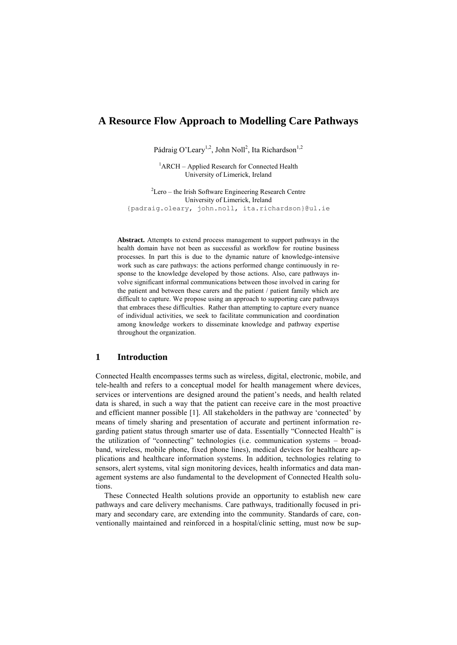# **A Resource Flow Approach to Modelling Care Pathways**

Pádraig O'Leary<sup>1,2</sup>, John Noll<sup>2</sup>, Ita Richardson<sup>1,2</sup>

<sup>1</sup>ARCH – Applied Research for Connected Health University of Limerick, Ireland

 ${}^{2}$ Lero – the Irish Software Engineering Research Centre University of Limerick, Ireland {padraig.oleary, john.noll, ita.richardson}@ul.ie

**Abstract.** Attempts to extend process management to support pathways in the health domain have not been as successful as workflow for routine business processes. In part this is due to the dynamic nature of knowledge-intensive work such as care pathways: the actions performed change continuously in response to the knowledge developed by those actions. Also, care pathways involve significant informal communications between those involved in caring for the patient and between these carers and the patient / patient family which are difficult to capture. We propose using an approach to supporting care pathways that embraces these difficulties. Rather than attempting to capture every nuance of individual activities, we seek to facilitate communication and coordination among knowledge workers to disseminate knowledge and pathway expertise throughout the organization.

# **1 Introduction**

Connected Health encompasses terms such as wireless, digital, electronic, mobile, and tele-health and refers to a conceptual model for health management where devices, services or interventions are designed around the patient's needs, and health related data is shared, in such a way that the patient can receive care in the most proactive and efficient manner possible [1]. All stakeholders in the pathway are 'connected' by means of timely sharing and presentation of accurate and pertinent information regarding patient status through smarter use of data. Essentially "Connected Health" is the utilization of "connecting" technologies (i.e. communication systems – broadband, wireless, mobile phone, fixed phone lines), medical devices for healthcare applications and healthcare information systems. In addition, technologies relating to sensors, alert systems, vital sign monitoring devices, health informatics and data management systems are also fundamental to the development of Connected Health solutions.

These Connected Health solutions provide an opportunity to establish new care pathways and care delivery mechanisms. Care pathways, traditionally focused in primary and secondary care, are extending into the community. Standards of care, conventionally maintained and reinforced in a hospital/clinic setting, must now be sup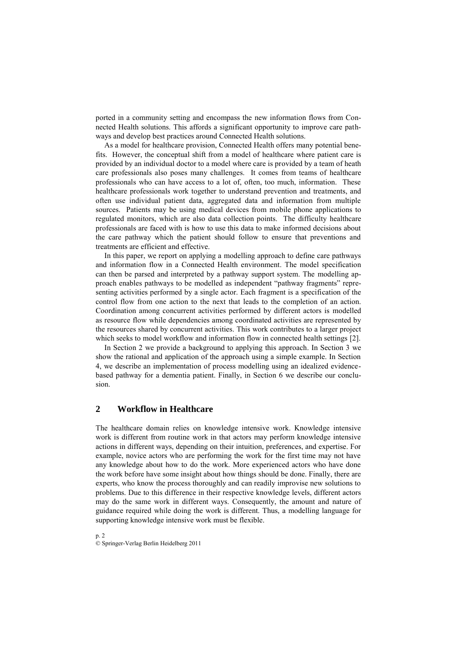ported in a community setting and encompass the new information flows from Connected Health solutions. This affords a significant opportunity to improve care pathways and develop best practices around Connected Health solutions.

As a model for healthcare provision, Connected Health offers many potential benefits. However, the conceptual shift from a model of healthcare where patient care is provided by an individual doctor to a model where care is provided by a team of heath care professionals also poses many challenges. It comes from teams of healthcare professionals who can have access to a lot of, often, too much, information. These healthcare professionals work together to understand prevention and treatments, and often use individual patient data, aggregated data and information from multiple sources. Patients may be using medical devices from mobile phone applications to regulated monitors, which are also data collection points. The difficulty healthcare professionals are faced with is how to use this data to make informed decisions about the care pathway which the patient should follow to ensure that preventions and treatments are efficient and effective.

In this paper, we report on applying a modelling approach to define care pathways and information flow in a Connected Health environment. The model specification can then be parsed and interpreted by a pathway support system. The modelling approach enables pathways to be modelled as independent "pathway fragments" representing activities performed by a single actor. Each fragment is a specification of the control flow from one action to the next that leads to the completion of an action. Coordination among concurrent activities performed by different actors is modelled as resource flow while dependencies among coordinated activities are represented by the resources shared by concurrent activities. This work contributes to a larger project which seeks to model workflow and information flow in connected health settings [2].

In Section 2 we provide a background to applying this approach. In Section 3 we show the rational and application of the approach using a simple example. In Section 4, we describe an implementation of process modelling using an idealized evidencebased pathway for a dementia patient. Finally, in Section 6 we describe our conclusion.

# **2 Workflow in Healthcare**

The healthcare domain relies on knowledge intensive work. Knowledge intensive work is different from routine work in that actors may perform knowledge intensive actions in different ways, depending on their intuition, preferences, and expertise. For example, novice actors who are performing the work for the first time may not have any knowledge about how to do the work. More experienced actors who have done the work before have some insight about how things should be done. Finally, there are experts, who know the process thoroughly and can readily improvise new solutions to problems. Due to this difference in their respective knowledge levels, different actors may do the same work in different ways. Consequently, the amount and nature of guidance required while doing the work is different. Thus, a modelling language for supporting knowledge intensive work must be flexible.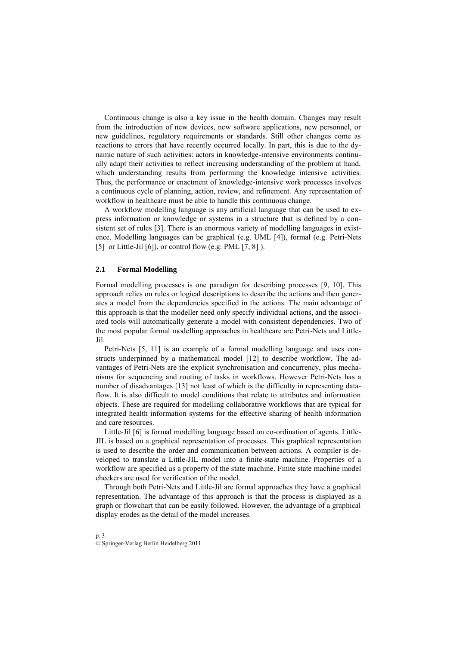Continuous change is also a key issue in the health domain. Changes may result from the introduction of new devices, new software applications, new personnel, or new guidelines, regulatory requirements or standards. Still other changes come as reactions to errors that have recently occurred locally. In part, this is due to the dynamic nature of such activities: actors in knowledge-intensive environments continually adapt their activities to reflect increasing understanding of the problem at hand, which understanding results from performing the knowledge intensive activities. Thus, the performance or enactment of knowledge-intensive work processes involves a continuous cycle of planning, action, review, and refinement. Any representation of workflow in healthcare must be able to handle this continuous change.

A workflow modelling language is any artificial language that can be used to express information or knowledge or systems in a structure that is defined by a consistent set of rules [3]. There is an enormous variety of modelling languages in existence. Modelling languages can be graphical (e.g. UML [4]), formal (e.g. Petri-Nets [5] or Little-Jil [6]), or control flow (e.g. PML  $[7, 8]$ ).

### **2.1 Formal Modelling**

Formal modelling processes is one paradigm for describing processes [9, 10]. This approach relies on rules or logical descriptions to describe the actions and then generates a model from the dependencies specified in the actions. The main advantage of this approach is that the modeller need only specify individual actions, and the associated tools will automatically generate a model with consistent dependencies. Two of the most popular formal modelling approaches in healthcare are Petri-Nets and Little-Jil.

Petri-Nets [5, 11] is an example of a formal modelling language and uses constructs underpinned by a mathematical model [12] to describe workflow. The advantages of Petri-Nets are the explicit synchronisation and concurrency, plus mechanisms for sequencing and routing of tasks in workflows. However Petri-Nets has a number of disadvantages [13] not least of which is the difficulty in representing dataflow. It is also difficult to model conditions that relate to attributes and information objects. These are required for modelling collaborative workflows that are typical for integrated health information systems for the effective sharing of health information and care resources.

Little-Jil [6] is formal modelling language based on co-ordination of agents. Little-JIL is based on a graphical representation of processes. This graphical representation is used to describe the order and communication between actions. A compiler is developed to translate a Little-JIL model into a finite-state machine. Properties of a workflow are specified as a property of the state machine. Finite state machine model checkers are used for verification of the model.

Through both Petri-Nets and Little-Jil are formal approaches they have a graphical representation. The advantage of this approach is that the process is displayed as a graph or flowchart that can be easily followed. However, the advantage of a graphical display erodes as the detail of the model increases.

### p. 3

<sup>©</sup> Springer-Verlag Berlin Heidelberg 2011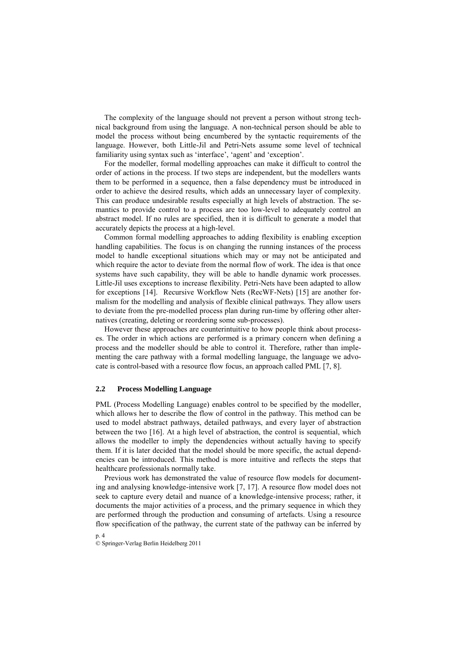The complexity of the language should not prevent a person without strong technical background from using the language. A non-technical person should be able to model the process without being encumbered by the syntactic requirements of the language. However, both Little-Jil and Petri-Nets assume some level of technical familiarity using syntax such as 'interface', 'agent' and 'exception'.

For the modeller, formal modelling approaches can make it difficult to control the order of actions in the process. If two steps are independent, but the modellers wants them to be performed in a sequence, then a false dependency must be introduced in order to achieve the desired results, which adds an unnecessary layer of complexity. This can produce undesirable results especially at high levels of abstraction. The semantics to provide control to a process are too low-level to adequately control an abstract model. If no rules are specified, then it is difficult to generate a model that accurately depicts the process at a high-level.

Common formal modelling approaches to adding flexibility is enabling exception handling capabilities. The focus is on changing the running instances of the process model to handle exceptional situations which may or may not be anticipated and which require the actor to deviate from the normal flow of work. The idea is that once systems have such capability, they will be able to handle dynamic work processes. Little-Jil uses exceptions to increase flexibility. Petri-Nets have been adapted to allow for exceptions [14]. Recursive Workflow Nets (RecWF-Nets) [15] are another formalism for the modelling and analysis of flexible clinical pathways. They allow users to deviate from the pre-modelled process plan during run-time by offering other alternatives (creating, deleting or reordering some sub-processes).

However these approaches are counterintuitive to how people think about processes. The order in which actions are performed is a primary concern when defining a process and the modeller should be able to control it. Therefore, rather than implementing the care pathway with a formal modelling language, the language we advocate is control-based with a resource flow focus, an approach called PML [7, 8].

## **2.2 Process Modelling Language**

PML (Process Modelling Language) enables control to be specified by the modeller, which allows her to describe the flow of control in the pathway. This method can be used to model abstract pathways, detailed pathways, and every layer of abstraction between the two [16]. At a high level of abstraction, the control is sequential, which allows the modeller to imply the dependencies without actually having to specify them. If it is later decided that the model should be more specific, the actual dependencies can be introduced. This method is more intuitive and reflects the steps that healthcare professionals normally take.

Previous work has demonstrated the value of resource flow models for documenting and analysing knowledge-intensive work [7, 17]. A resource flow model does not seek to capture every detail and nuance of a knowledge-intensive process; rather, it documents the major activities of a process, and the primary sequence in which they are performed through the production and consuming of artefacts. Using a resource flow specification of the pathway, the current state of the pathway can be inferred by

## p. 4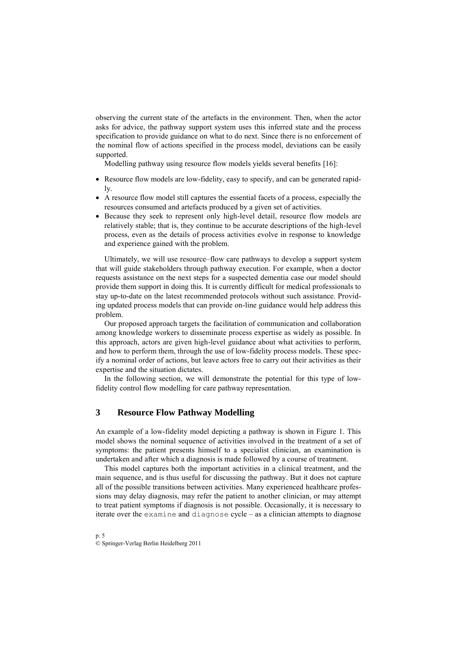observing the current state of the artefacts in the environment. Then, when the actor asks for advice, the pathway support system uses this inferred state and the process specification to provide guidance on what to do next. Since there is no enforcement of the nominal flow of actions specified in the process model, deviations can be easily supported.

Modelling pathway using resource flow models yields several benefits [16]:

- Resource flow models are low-fidelity, easy to specify, and can be generated rapidly.
- A resource flow model still captures the essential facets of a process, especially the resources consumed and artefacts produced by a given set of activities.
- Because they seek to represent only high-level detail, resource flow models are relatively stable; that is, they continue to be accurate descriptions of the high-level process, even as the details of process activities evolve in response to knowledge and experience gained with the problem.

Ultimately, we will use resource–flow care pathways to develop a support system that will guide stakeholders through pathway execution. For example, when a doctor requests assistance on the next steps for a suspected dementia case our model should provide them support in doing this. It is currently difficult for medical professionals to stay up-to-date on the latest recommended protocols without such assistance. Providing updated process models that can provide on-line guidance would help address this problem.

Our proposed approach targets the facilitation of communication and collaboration among knowledge workers to disseminate process expertise as widely as possible. In this approach, actors are given high-level guidance about what activities to perform, and how to perform them, through the use of low-fidelity process models. These specify a nominal order of actions, but leave actors free to carry out their activities as their expertise and the situation dictates.

In the following section, we will demonstrate the potential for this type of lowfidelity control flow modelling for care pathway representation.

# **3 Resource Flow Pathway Modelling**

An example of a low-fidelity model depicting a pathway is shown in Figure 1. This model shows the nominal sequence of activities involved in the treatment of a set of symptoms: the patient presents himself to a specialist clinician, an examination is undertaken and after which a diagnosis is made followed by a course of treatment.

This model captures both the important activities in a clinical treatment, and the main sequence, and is thus useful for discussing the pathway. But it does not capture all of the possible transitions between activities. Many experienced healthcare professions may delay diagnosis, may refer the patient to another clinician, or may attempt to treat patient symptoms if diagnosis is not possible. Occasionally, it is necessary to iterate over the examine and diagnose cycle – as a clinician attempts to diagnose

## p. 5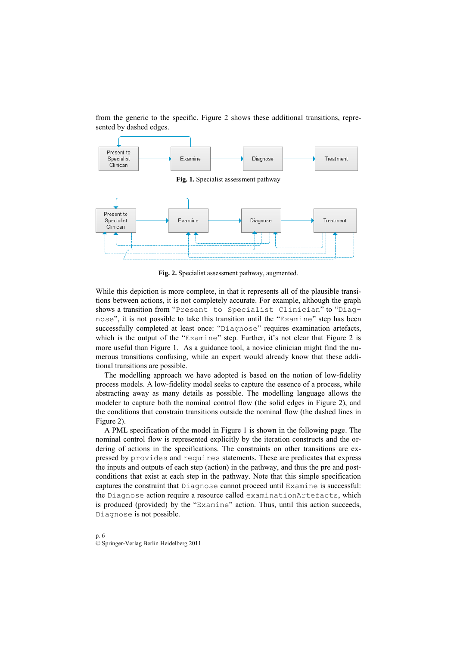from the generic to the specific. Figure 2 shows these additional transitions, represented by dashed edges.



**Fig. 1.** Specialist assessment pathway



**Fig. 2.** Specialist assessment pathway, augmented.

While this depiction is more complete, in that it represents all of the plausible transitions between actions, it is not completely accurate. For example, although the graph shows a transition from "Present to Specialist Clinician" to "Diagnose", it is not possible to take this transition until the "Examine" step has been successfully completed at least once: "Diagnose" requires examination artefacts, which is the output of the "Examine" step. Further, it's not clear that Figure 2 is more useful than Figure 1. As a guidance tool, a novice clinician might find the numerous transitions confusing, while an expert would already know that these additional transitions are possible.

The modelling approach we have adopted is based on the notion of low-fidelity process models. A low-fidelity model seeks to capture the essence of a process, while abstracting away as many details as possible. The modelling language allows the modeler to capture both the nominal control flow (the solid edges in Figure 2), and the conditions that constrain transitions outside the nominal flow (the dashed lines in Figure 2).

A PML specification of the model in Figure 1 is shown in the following page. The nominal control flow is represented explicitly by the iteration constructs and the ordering of actions in the specifications. The constraints on other transitions are expressed by provides and requires statements. These are predicates that express the inputs and outputs of each step (action) in the pathway, and thus the pre and postconditions that exist at each step in the pathway. Note that this simple specification captures the constraint that Diagnose cannot proceed until Examine is successful: the Diagnose action require a resource called examinationArtefacts, which is produced (provided) by the "Examine" action. Thus, until this action succeeds, Diagnose is not possible.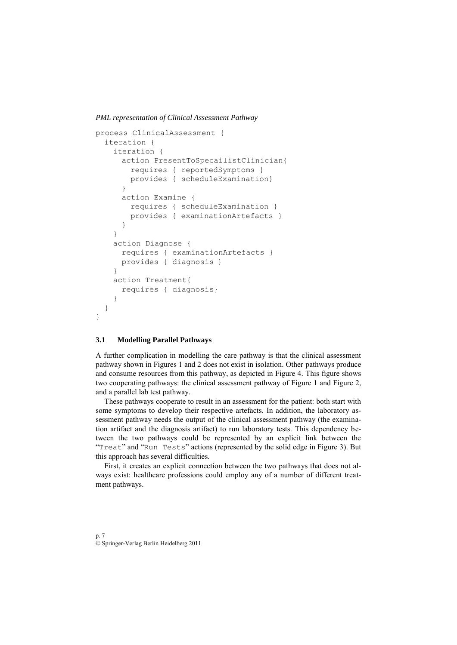*PML representation of Clinical Assessment Pathway* 

```
process ClinicalAssessment {
  iteration {
     iteration {
       action PresentToSpecailistClinician{
         requires { reportedSymptoms }
         provides { scheduleExamination}
 } 
       action Examine {
         requires { scheduleExamination }
         provides { examinationArtefacts }
       } 
     } 
     action Diagnose {
       requires { examinationArtefacts }
       provides { diagnosis } 
     } 
     action Treatment{
       requires { diagnosis}
     } 
   } 
}
```
## **3.1 Modelling Parallel Pathways**

A further complication in modelling the care pathway is that the clinical assessment pathway shown in Figures 1 and 2 does not exist in isolation. Other pathways produce and consume resources from this pathway, as depicted in Figure 4. This figure shows two cooperating pathways: the clinical assessment pathway of Figure 1 and Figure 2, and a parallel lab test pathway.

These pathways cooperate to result in an assessment for the patient: both start with some symptoms to develop their respective artefacts. In addition, the laboratory assessment pathway needs the output of the clinical assessment pathway (the examination artifact and the diagnosis artifact) to run laboratory tests. This dependency between the two pathways could be represented by an explicit link between the "Treat" and "Run Tests" actions (represented by the solid edge in Figure 3). But this approach has several difficulties.

First, it creates an explicit connection between the two pathways that does not always exist: healthcare professions could employ any of a number of different treatment pathways.

p. 7 © Springer-Verlag Berlin Heidelberg 2011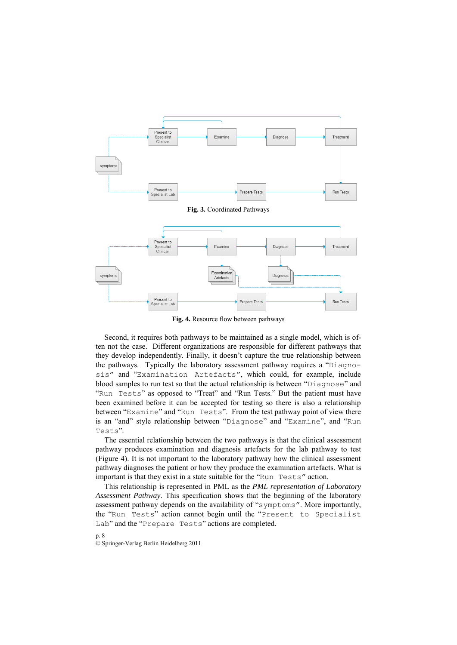

**Fig. 4.** Resource flow between pathways

Second, it requires both pathways to be maintained as a single model, which is often not the case. Different organizations are responsible for different pathways that they develop independently. Finally, it doesn't capture the true relationship between the pathways. Typically the laboratory assessment pathway requires a "Diagnosis" and "Examination Artefacts", which could, for example, include blood samples to run test so that the actual relationship is between "Diagnose" and "Run Tests" as opposed to "Treat" and "Run Tests." But the patient must have been examined before it can be accepted for testing so there is also a relationship between "Examine" and "Run Tests". From the test pathway point of view there is an "and" style relationship between "Diagnose" and "Examine", and "Run Tests".

The essential relationship between the two pathways is that the clinical assessment pathway produces examination and diagnosis artefacts for the lab pathway to test (Figure 4). It is not important to the laboratory pathway how the clinical assessment pathway diagnoses the patient or how they produce the examination artefacts. What is important is that they exist in a state suitable for the "Run Tests" action.

This relationship is represented in PML as the *PML representation of Laboratory Assessment Pathway*. This specification shows that the beginning of the laboratory assessment pathway depends on the availability of "symptoms". More importantly, the "Run Tests" action cannot begin until the "Present to Specialist Lab" and the "Prepare Tests" actions are completed.

p. 8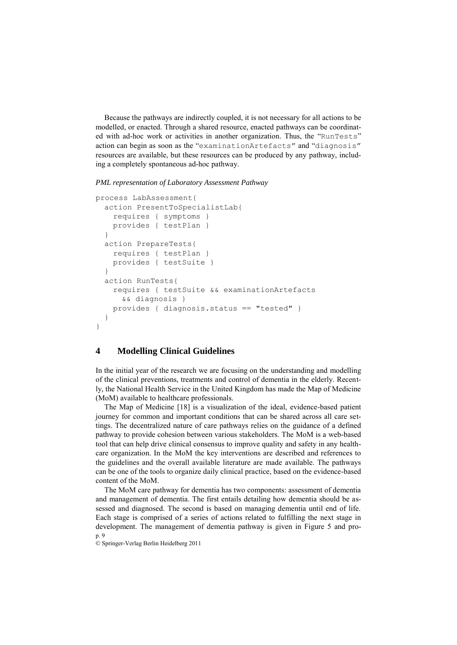Because the pathways are indirectly coupled, it is not necessary for all actions to be modelled, or enacted. Through a shared resource, enacted pathways can be coordinated with ad-hoc work or activities in another organization. Thus, the "RunTests" action can begin as soon as the "examinationArtefacts" and "diagnosis" resources are available, but these resources can be produced by any pathway, including a completely spontaneous ad-hoc pathway.

*PML representation of Laboratory Assessment Pathway* 

```
process LabAssessment{
  action PresentToSpecialistLab{
     requires { symptoms }
     provides { testPlan }
   } 
  action PrepareTests{
     requires { testPlan }
     provides { testSuite }
   } 
  action RunTests{
     requires { testSuite && examinationArtefacts 
       && diagnosis } 
     provides { diagnosis.status == "tested" }
   } 
}
```
# **4 Modelling Clinical Guidelines**

In the initial year of the research we are focusing on the understanding and modelling of the clinical preventions, treatments and control of dementia in the elderly. Recently, the National Health Service in the United Kingdom has made the Map of Medicine (MoM) available to healthcare professionals.

The Map of Medicine [18] is a visualization of the ideal, evidence-based patient journey for common and important conditions that can be shared across all care settings. The decentralized nature of care pathways relies on the guidance of a defined pathway to provide cohesion between various stakeholders. The MoM is a web-based tool that can help drive clinical consensus to improve quality and safety in any healthcare organization. In the MoM the key interventions are described and references to the guidelines and the overall available literature are made available. The pathways can be one of the tools to organize daily clinical practice, based on the evidence-based content of the MoM.

p. 9 The MoM care pathway for dementia has two components: assessment of dementia and management of dementia. The first entails detailing how dementia should be assessed and diagnosed. The second is based on managing dementia until end of life. Each stage is comprised of a series of actions related to fulfilling the next stage in development. The management of dementia pathway is given in Figure 5 and pro-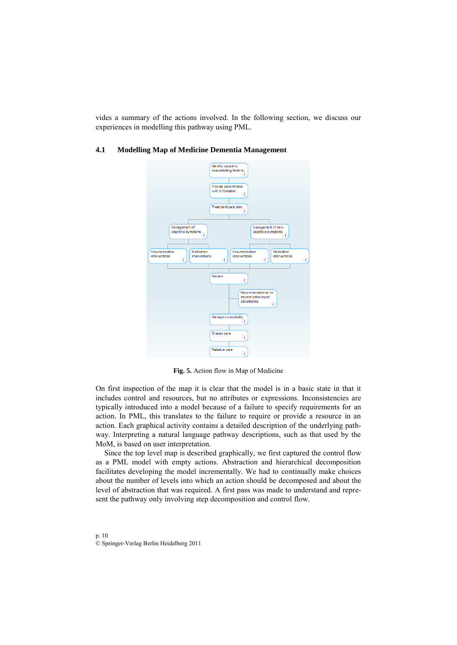vides a summary of the actions involved. In the following section, we discuss our experiences in modelling this pathway using PML.



## **4.1 Modelling Map of Medicine Dementia Management**

**Fig. 5.** Action flow in Map of Medicine

On first inspection of the map it is clear that the model is in a basic state in that it includes control and resources, but no attributes or expressions. Inconsistencies are typically introduced into a model because of a failure to specify requirements for an action. In PML, this translates to the failure to require or provide a resource in an action. Each graphical activity contains a detailed description of the underlying pathway. Interpreting a natural language pathway descriptions, such as that used by the MoM, is based on user interpretation.

Since the top level map is described graphically, we first captured the control flow as a PML model with empty actions. Abstraction and hierarchical decomposition facilitates developing the model incrementally. We had to continually make choices about the number of levels into which an action should be decomposed and about the level of abstraction that was required. A first pass was made to understand and represent the pathway only involving step decomposition and control flow.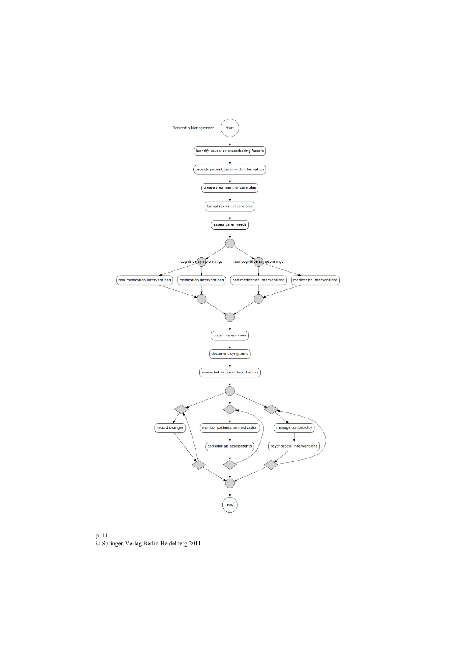

p. 11 © Springer-Verlag Berlin Heidelberg 2011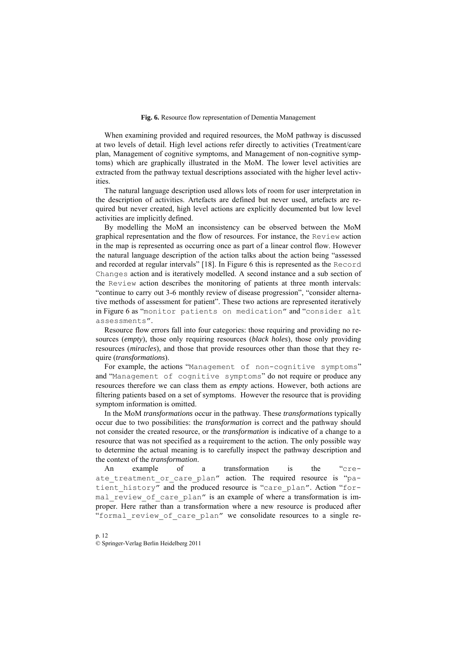#### **Fig. 6.** Resource flow representation of Dementia Management

When examining provided and required resources, the MoM pathway is discussed at two levels of detail. High level actions refer directly to activities (Treatment/care plan, Management of cognitive symptoms, and Management of non-cognitive symptoms) which are graphically illustrated in the MoM. The lower level activities are extracted from the pathway textual descriptions associated with the higher level activ**ities** 

The natural language description used allows lots of room for user interpretation in the description of activities. Artefacts are defined but never used, artefacts are required but never created, high level actions are explicitly documented but low level activities are implicitly defined.

By modelling the MoM an inconsistency can be observed between the MoM graphical representation and the flow of resources. For instance, the Review action in the map is represented as occurring once as part of a linear control flow. However the natural language description of the action talks about the action being "assessed and recorded at regular intervals" [18]. In Figure 6 this is represented as the Record Changes action and is iteratively modelled. A second instance and a sub section of the Review action describes the monitoring of patients at three month intervals: "continue to carry out 3-6 monthly review of disease progression", "consider alternative methods of assessment for patient". These two actions are represented iteratively in Figure 6 as "monitor patients on medication" and "consider alt assessments".

Resource flow errors fall into four categories: those requiring and providing no resources (*empty*), those only requiring resources (*black holes*), those only providing resources (*miracles*), and those that provide resources other than those that they require (*transformations*).

For example, the actions "Management of non-cognitive symptoms" and "Management of cognitive symptoms" do not require or produce any resources therefore we can class them as *empty* actions. However, both actions are filtering patients based on a set of symptoms. However the resource that is providing symptom information is omitted.

In the MoM *transformations* occur in the pathway. These *transformations* typically occur due to two possibilities: the *transformation* is correct and the pathway should not consider the created resource, or the *transformation* is indicative of a change to a resource that was not specified as a requirement to the action. The only possible way to determine the actual meaning is to carefully inspect the pathway description and the context of the *transformation*.

An example of a transformation is the "create treatment or care plan" action. The required resource is "patient history" and the produced resource is "care plan". Action "formal review of care plan" is an example of where a transformation is improper. Here rather than a transformation where a new resource is produced after "formal\_review\_of\_care\_plan" we consolidate resources to a single re-

#### p. 12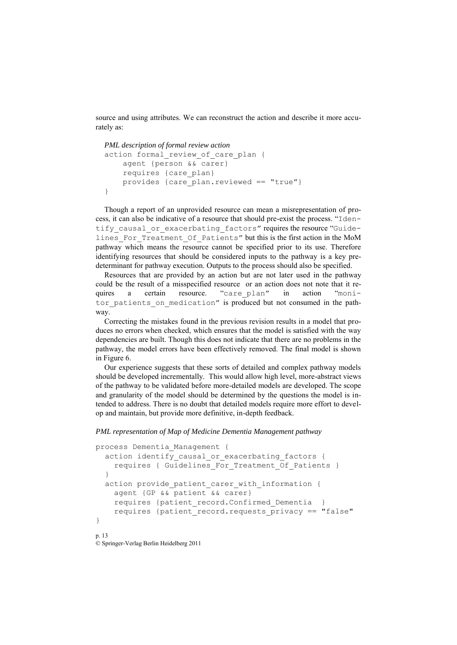source and using attributes. We can reconstruct the action and describe it more accurately as:

```
PML description of formal review action 
action formal review of care plan {
     agent {person && carer}
     requires {care_plan}
    provides {care plan.reviewed == "true"}
}
```
Though a report of an unprovided resource can mean a misrepresentation of process, it can also be indicative of a resource that should pre-exist the process. "Identify causal or exacerbating factors" requires the resource "Guidelines For Treatment Of Patients" but this is the first action in the MoM pathway which means the resource cannot be specified prior to its use. Therefore identifying resources that should be considered inputs to the pathway is a key predeterminant for pathway execution. Outputs to the process should also be specified.

Resources that are provided by an action but are not later used in the pathway could be the result of a misspecified resource or an action does not note that it requires a certain resource. "care\_plan" in action "monitor patients on medication" is produced but not consumed in the pathway.

Correcting the mistakes found in the previous revision results in a model that produces no errors when checked, which ensures that the model is satisfied with the way dependencies are built. Though this does not indicate that there are no problems in the pathway, the model errors have been effectively removed. The final model is shown in Figure 6.

Our experience suggests that these sorts of detailed and complex pathway models should be developed incrementally. This would allow high level, more-abstract views of the pathway to be validated before more-detailed models are developed. The scope and granularity of the model should be determined by the questions the model is intended to address. There is no doubt that detailed models require more effort to develop and maintain, but provide more definitive, in-depth feedback.

## *PML representation of Map of Medicine Dementia Management pathway*

```
p. 13
process Dementia_Management {
  action identify causal or exacerbating factors {
    requires { Guidelines For Treatment Of Patients }
   } 
  action provide patient carer with information {
     agent {GP && patient && carer}
     requires {patient_record.Confirmed_Dementia }
    requires {patient record.requests privacy == "false"
}
```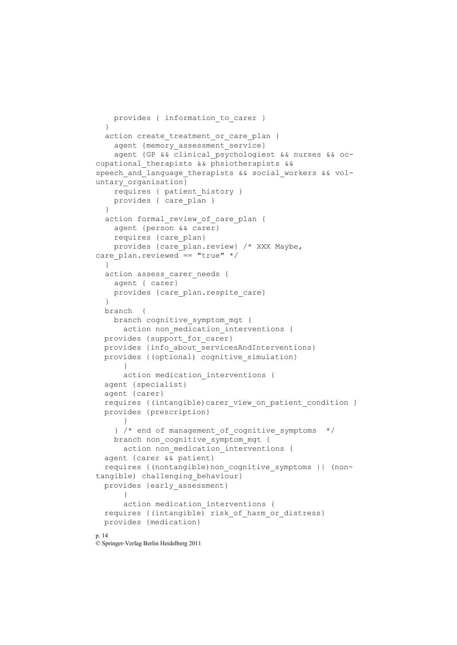```
p. 14
© Springer-Verlag Berlin Heidelberg 2011 
    provides { information to carer }
   } 
  action create treatment or care plan {
    agent {memory assessment service}
     agent {GP && clinical_psychologiest && nurses && oc-
cupational_therapists && phsiotherapists && 
speech and language therapists && social workers && vol-
untary organisation}
     requires { patient_history }
     provides { care_plan }
  } 
 action formal review of care plan {
     agent {person && carer}
    requires {care_plan}
   provides {care plan.review} /* XXX Maybe,
care plan.reviewed == "true" */ } 
 action assess carer needs {
    agent { carer}
   provides {care plan.respite care}
   } 
  branch {
   branch cognitive symptom mgt {
      action non medication interventions {
 provides {support for carer}
 provides {info about servicesAndInterventions}
 provides { (optional) cognitive simulation}
       } 
      action medication interventions {
 agent {specialist}
 agent {carer}
 requires {(intangible)carer view on patient condition }
 provides {prescription}
       } 
    } /* end of management of cognitive symptoms */
    branch non cognitive symptom mgt {
      action non medication interventions {
 agent {carer && patient}
 requires {(nontangible)non_cognitive_symptoms || (non-
tangible) challenging behaviour}
 provides {early assessment}
       } 
      action medication interventions {
 requires {(intangible) risk_of_harm_or_distress}
 provides {medication}
```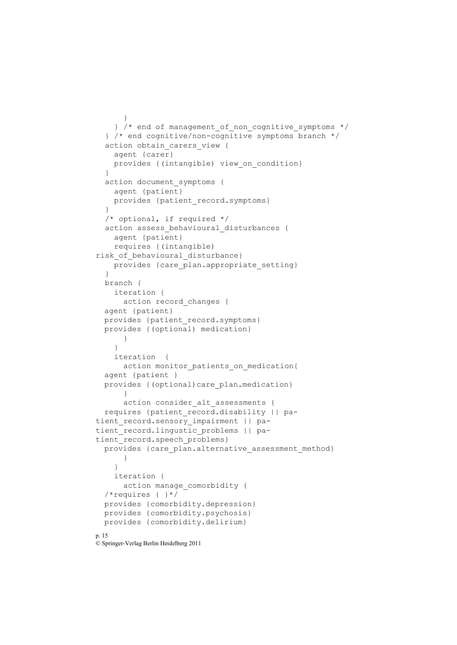```
p. 15
© Springer-Verlag Berlin Heidelberg 2011 
 } 
    } /* end of management of non cognitive symptoms */
   } /* end cognitive/non-cognitive symptoms branch */
  action obtain carers view {
     agent {carer}
    provides {(intangible) view on condition}
   } 
 action document symptoms {
     agent {patient}
   provides {patient record.symptoms}
   } 
   /* optional, if required */
 action assess behavioural disturbances {
    agent {patient}
    requires {(intangible) 
risk_of_behavioural_disturbance}
   provides {care plan.appropriate setting}
   } 
  branch {
     iteration {
      action record changes {
 agent {patient}
 provides {patient record.symptoms}
 provides {(optional) medication}
 } 
     } 
     iteration {
      action monitor patients on medication{
 agent {patient }
 provides { (optional) care plan.medication}
       } 
      action consider alt assessments {
 requires {patient_record.disability || pa-
tient record.sensory impairment | | pa-
tient_record.lingustic_problems || pa-
tient record.speech problems}
 provides {care plan.alternative assessment method}
       } 
     } 
     iteration {
       action manage_comorbidity {
  /*requires { }*/
 provides {comorbidity.depression}
 provides {comorbidity.psychosis}
 provides {comorbidity.delirium}
```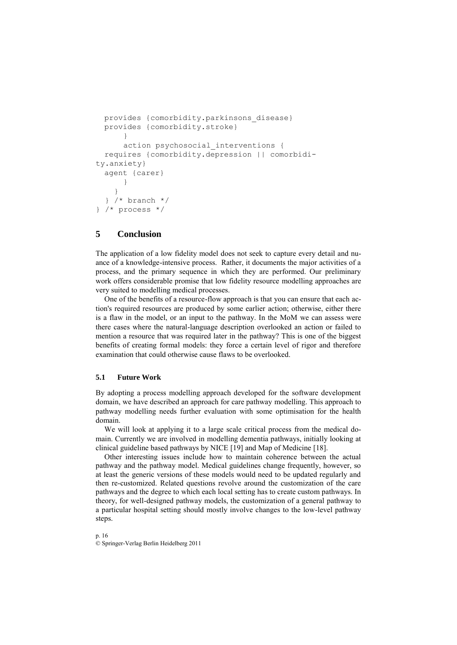```
provides {comorbidity.parkinsons_disease}
 provides {comorbidity.stroke}
      } 
     action psychosocial interventions {
 requires {comorbidity.depression || comorbidi-
ty.anxiety}
 agent {carer}
 } 
 } 
  } /* branch */
} /* process */
```
## **5 Conclusion**

The application of a low fidelity model does not seek to capture every detail and nuance of a knowledge-intensive process. Rather, it documents the major activities of a process, and the primary sequence in which they are performed. Our preliminary work offers considerable promise that low fidelity resource modelling approaches are very suited to modelling medical processes.

One of the benefits of a resource-flow approach is that you can ensure that each action's required resources are produced by some earlier action; otherwise, either there is a flaw in the model, or an input to the pathway. In the MoM we can assess were there cases where the natural-language description overlooked an action or failed to mention a resource that was required later in the pathway? This is one of the biggest benefits of creating formal models: they force a certain level of rigor and therefore examination that could otherwise cause flaws to be overlooked.

## **5.1 Future Work**

By adopting a process modelling approach developed for the software development domain, we have described an approach for care pathway modelling. This approach to pathway modelling needs further evaluation with some optimisation for the health domain.

We will look at applying it to a large scale critical process from the medical domain. Currently we are involved in modelling dementia pathways, initially looking at clinical guideline based pathways by NICE [19] and Map of Medicine [18].

Other interesting issues include how to maintain coherence between the actual pathway and the pathway model. Medical guidelines change frequently, however, so at least the generic versions of these models would need to be updated regularly and then re-customized. Related questions revolve around the customization of the care pathways and the degree to which each local setting has to create custom pathways. In theory, for well-designed pathway models, the customization of a general pathway to a particular hospital setting should mostly involve changes to the low-level pathway steps.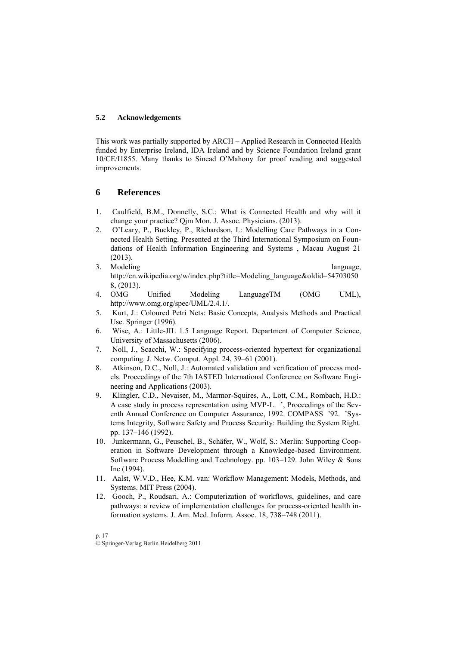## **5.2 Acknowledgements**

This work was partially supported by ARCH – Applied Research in Connected Health funded by Enterprise Ireland, IDA Ireland and by Science Foundation Ireland grant 10/CE/I1855. Many thanks to Sinead O'Mahony for proof reading and suggested improvements.

# **6 References**

- 1. Caulfield, B.M., Donnelly, S.C.: What is Connected Health and why will it change your practice? Qjm Mon. J. Assoc. Physicians. (2013).
- 2. O'Leary, P., Buckley, P., Richardson, I.: Modelling Care Pathways in a Connected Health Setting. Presented at the Third International Symposium on Foundations of Health Information Engineering and Systems , Macau August 21 (2013).
- 3. Modeling language, http://en.wikipedia.org/w/index.php?title=Modeling\_language&oldid=54703050 8, (2013).
- 4. OMG Unified Modeling LanguageTM (OMG UML), http://www.omg.org/spec/UML/2.4.1/.
- 5. Kurt, J.: Coloured Petri Nets: Basic Concepts, Analysis Methods and Practical Use. Springer (1996).
- 6. Wise, A.: Little-JIL 1.5 Language Report. Department of Computer Science, University of Massachusetts (2006).
- 7. Noll, J., Scacchi, W.: Specifying process-oriented hypertext for organizational computing. J. Netw. Comput. Appl. 24, 39–61 (2001).
- 8. Atkinson, D.C., Noll, J.: Automated validation and verification of process models. Proceedings of the 7th IASTED International Conference on Software Engineering and Applications (2003).
- 9. Klingler, C.D., Nevaiser, M., Marmor-Squires, A., Lott, C.M., Rombach, H.D.: A case study in process representation using MVP-L. ', Proceedings of the Seventh Annual Conference on Computer Assurance, 1992. COMPASS '92. 'Systems Integrity, Software Safety and Process Security: Building the System Right. pp. 137–146 (1992).
- 10. Junkermann, G., Peuschel, B., Schäfer, W., Wolf, S.: Merlin: Supporting Cooperation in Software Development through a Knowledge-based Environment. Software Process Modelling and Technology. pp. 103–129. John Wiley & Sons Inc (1994).
- 11. Aalst, W.V.D., Hee, K.M. van: Workflow Management: Models, Methods, and Systems. MIT Press (2004).
- 12. Gooch, P., Roudsari, A.: Computerization of workflows, guidelines, and care pathways: a review of implementation challenges for process-oriented health information systems. J. Am. Med. Inform. Assoc. 18, 738–748 (2011).

p. 17

<sup>©</sup> Springer-Verlag Berlin Heidelberg 2011